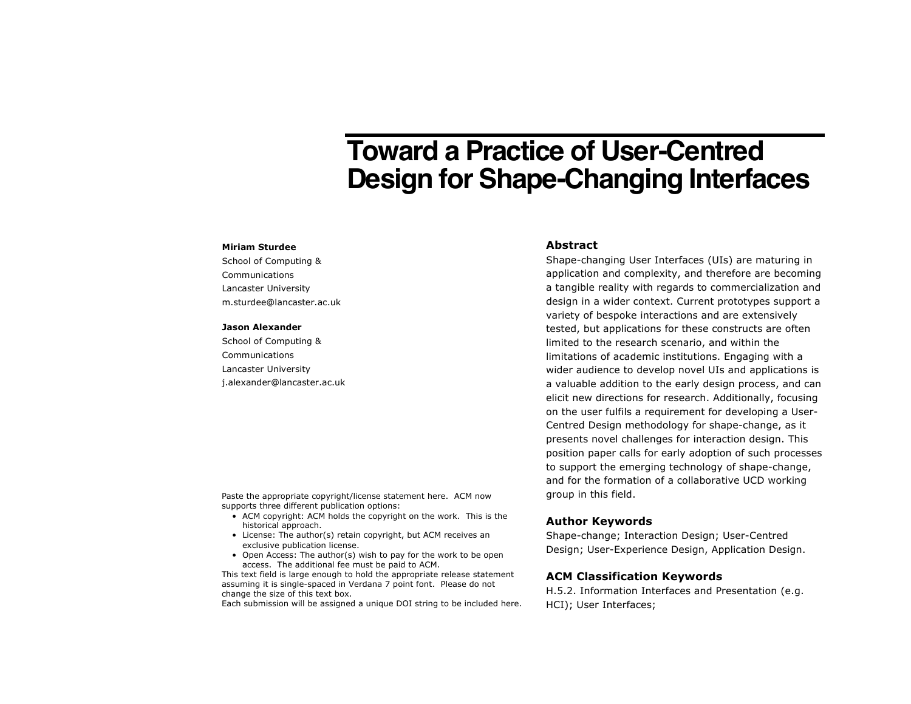# **Toward a Practice of User-Centred Design for Shape-Changing Interfaces**

#### **Miriam Sturdee**

School of Computing & Communications Lancaster University m.sturdee@lancaster.ac.uk

#### **Jason Alexander**

School of Computing & Communications Lancaster University j.alexander@lancaster.ac.uk

Paste the appropriate copyright/license statement here. ACM now supports three different publication options:

- ACM copyright: ACM holds the copyright on the work. This is the historical approach.
- License: The author(s) retain copyright, but ACM receives an exclusive publication license.
- Open Access: The author(s) wish to pay for the work to be open access. The additional fee must be paid to ACM.

This text field is large enough to hold the appropriate release statement assuming it is single-spaced in Verdana 7 point font. Please do not change the size of this text box.

Each submission will be assigned a unique DOI string to be included here.

### **Abstract**

Shape-changing User Interfaces (UIs) are maturing in application and complexity, and therefore are becoming a tangible reality with regards to commercialization and design in a wider context. Current prototypes support a variety of bespoke interactions and are extensively tested, but applications for these constructs are often limited to the research scenario, and within the limitations of academic institutions. Engaging with a wider audience to develop novel UIs and applications is a valuable addition to the early design process, and can elicit new directions for research. Additionally, focusing on the user fulfils a requirement for developing a User-Centred Design methodology for shape-change, as it presents novel challenges for interaction design. This position paper calls for early adoption of such processes to support the emerging technology of shape-change, and for the formation of a collaborative UCD working group in this field.

#### **Author Keywords**

Shape-change; Interaction Design; User-Centred Design; User-Experience Design, Application Design.

#### **ACM Classification Keywords**

H.5.2. Information Interfaces and Presentation (e.g. HCI); User Interfaces;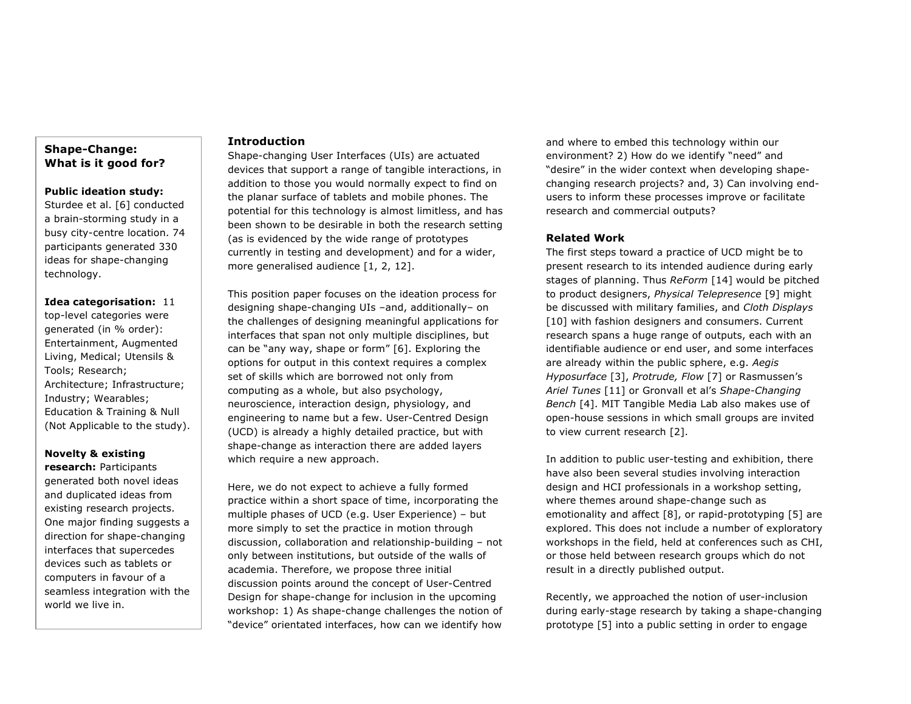# **Shape-Change: What is it good for?**

### **Public ideation study:**

Sturdee et al. [6] conducted a brain-storming study in a busy city-centre location. 74 participants generated 330 ideas for shape-changing technology.

**Idea categorisation:** 11 top-level categories were generated (in % order): Entertainment, Augmented Living, Medical; Utensils & Tools; Research; Architecture; Infrastructure; Industry; Wearables; Education & Training & Null (Not Applicable to the study).

## **Novelty & existing**

**research:** Participants generated both novel ideas and duplicated ideas from existing research projects. One major finding suggests a direction for shape-changing interfaces that supercedes devices such as tablets or computers in favour of a seamless integration with the world we live in.

### **Introduction**

Shape-changing User Interfaces (UIs) are actuated devices that support a range of tangible interactions, in addition to those you would normally expect to find on the planar surface of tablets and mobile phones. The potential for this technology is almost limitless, and has been shown to be desirable in both the research setting (as is evidenced by the wide range of prototypes currently in testing and development) and for a wider, more generalised audience [1, 2, 12].

This position paper focuses on the ideation process for designing shape-changing UIs –and, additionally– on the challenges of designing meaningful applications for interfaces that span not only multiple disciplines, but can be "any way, shape or form" [6]. Exploring the options for output in this context requires a complex set of skills which are borrowed not only from computing as a whole, but also psychology, neuroscience, interaction design, physiology, and engineering to name but a few. User-Centred Design (UCD) is already a highly detailed practice, but with shape-change as interaction there are added layers which require a new approach.

Here, we do not expect to achieve a fully formed practice within a short space of time, incorporating the multiple phases of UCD (e.g. User Experience) – but more simply to set the practice in motion through discussion, collaboration and relationship-building – not only between institutions, but outside of the walls of academia. Therefore, we propose three initial discussion points around the concept of User-Centred Design for shape-change for inclusion in the upcoming workshop: 1) As shape-change challenges the notion of "device" orientated interfaces, how can we identify how

and where to embed this technology within our environment? 2) How do we identify "need" and "desire" in the wider context when developing shapechanging research projects? and, 3) Can involving endusers to inform these processes improve or facilitate research and commercial outputs?

## **Related Work**

The first steps toward a practice of UCD might be to present research to its intended audience during early stages of planning. Thus *ReForm* [14] would be pitched to product designers, *Physical Telepresence* [9] might be discussed with military families, and *Cloth Displays* [10] with fashion designers and consumers. Current research spans a huge range of outputs, each with an identifiable audience or end user, and some interfaces are already within the public sphere, e.g. *Aegis Hyposurface* [3], *Protrude, Flow* [7] or Rasmussen's *Ariel Tunes* [11] or Gronvall et al's *Shape-Changing Bench* [4]. MIT Tangible Media Lab also makes use of open-house sessions in which small groups are invited to view current research [2].

In addition to public user-testing and exhibition, there have also been several studies involving interaction design and HCI professionals in a workshop setting, where themes around shape-change such as emotionality and affect [8], or rapid-prototyping [5] are explored. This does not include a number of exploratory workshops in the field, held at conferences such as CHI, or those held between research groups which do not result in a directly published output.

Recently, we approached the notion of user-inclusion during early-stage research by taking a shape-changing prototype [5] into a public setting in order to engage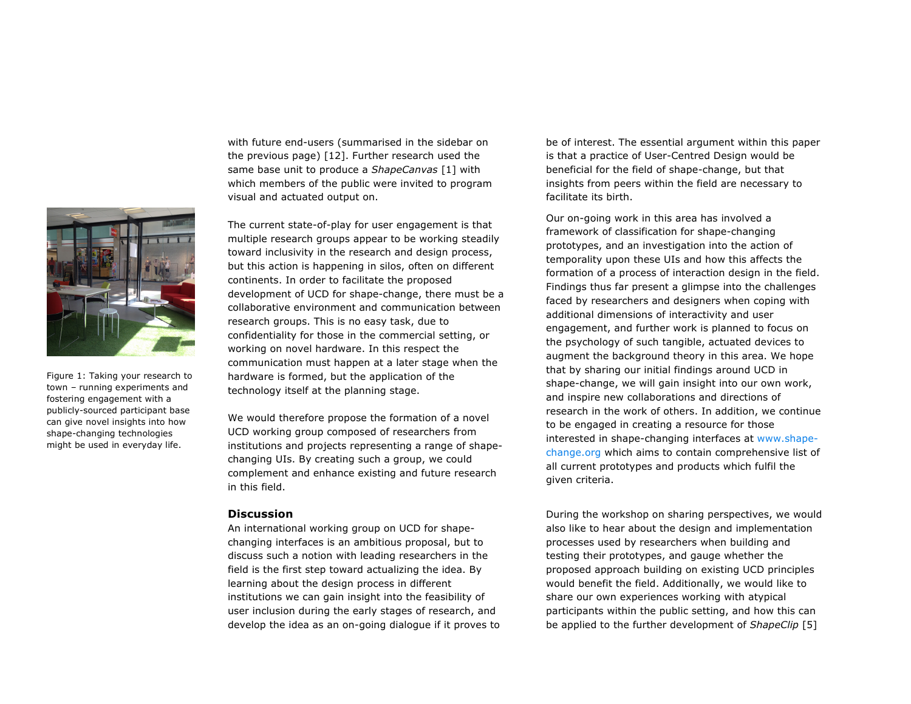

Figure 1: Taking your research to town – running experiments and fostering engagement with a publicly-sourced participant base can give novel insights into how shape-changing technologies might be used in everyday life.

with future end-users (summarised in the sidebar on the previous page) [12]. Further research used the same base unit to produce a *ShapeCanvas* [1] with which members of the public were invited to program visual and actuated output on.

The current state-of-play for user engagement is that multiple research groups appear to be working steadily toward inclusivity in the research and design process, but this action is happening in silos, often on different continents. In order to facilitate the proposed development of UCD for shape-change, there must be a collaborative environment and communication between research groups. This is no easy task, due to confidentiality for those in the commercial setting, or working on novel hardware. In this respect the communication must happen at a later stage when the hardware is formed, but the application of the technology itself at the planning stage.

We would therefore propose the formation of a novel UCD working group composed of researchers from institutions and projects representing a range of shapechanging UIs. By creating such a group, we could complement and enhance existing and future research in this field.

#### **Discussion**

An international working group on UCD for shapechanging interfaces is an ambitious proposal, but to discuss such a notion with leading researchers in the field is the first step toward actualizing the idea. By learning about the design process in different institutions we can gain insight into the feasibility of user inclusion during the early stages of research, and develop the idea as an on-going dialogue if it proves to

be of interest. The essential argument within this paper is that a practice of User-Centred Design would be beneficial for the field of shape-change, but that insights from peers within the field are necessary to facilitate its birth.

Our on-going work in this area has involved a framework of classification for shape-changing prototypes, and an investigation into the action of temporality upon these UIs and how this affects the formation of a process of interaction design in the field. Findings thus far present a glimpse into the challenges faced by researchers and designers when coping with additional dimensions of interactivity and user engagement, and further work is planned to focus on the psychology of such tangible, actuated devices to augment the background theory in this area. We hope that by sharing our initial findings around UCD in shape-change, we will gain insight into our own work, and inspire new collaborations and directions of research in the work of others. In addition, we continue to be engaged in creating a resource for those interested in shape-changing interfaces at [www.shape](mailto:www.shape-change.org?subject=Shape Changing Interfaces - Resource)[change.org](mailto:www.shape-change.org?subject=Shape Changing Interfaces - Resource) which aims to contain comprehensive list of all current prototypes and products which fulfil the given criteria.

During the workshop on sharing perspectives, we would also like to hear about the design and implementation processes used by researchers when building and testing their prototypes, and gauge whether the proposed approach building on existing UCD principles would benefit the field. Additionally, we would like to share our own experiences working with atypical participants within the public setting, and how this can be applied to the further development of *ShapeClip* [5]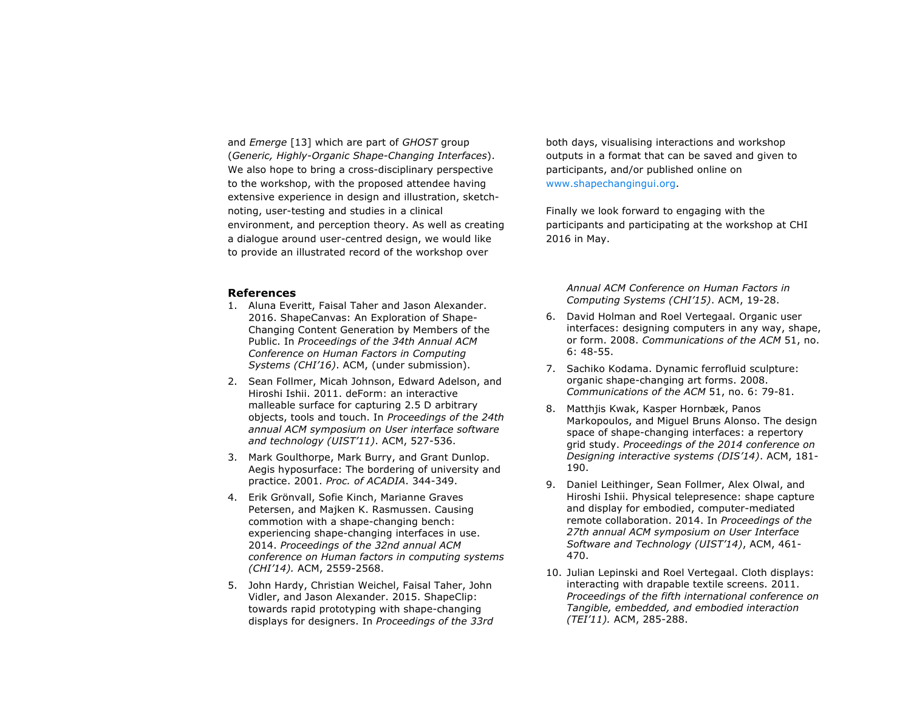and *Emerge* [13] which are part of *GHOST* group (*Generic, Highly-Organic Shape-Changing Interfaces*). We also hope to bring a cross-disciplinary perspective to the workshop, with the proposed attendee having extensive experience in design and illustration, sketchnoting, user-testing and studies in a clinical environment, and perception theory. As well as creating a dialogue around user-centred design, we would like to provide an illustrated record of the workshop over

#### **References**

- 1. Aluna Everitt, Faisal Taher and Jason Alexander. 2016. ShapeCanvas: An Exploration of Shape-Changing Content Generation by Members of the Public. In *Proceedings of the 34th Annual ACM Conference on Human Factors in Computing Systems (CHI'16)*. ACM, (under submission).
- 2. Sean Follmer, Micah Johnson, Edward Adelson, and Hiroshi Ishii. 2011. deForm: an interactive malleable surface for capturing 2.5 D arbitrary objects, tools and touch. In *Proceedings of the 24th annual ACM symposium on User interface software and technology (UIST'11)*. ACM, 527-536.
- 3. Mark Goulthorpe, Mark Burry, and Grant Dunlop. Aegis hyposurface: The bordering of university and practice. 2001. *Proc. of ACADIA*. 344-349.
- 4. Erik Grönvall, Sofie Kinch, Marianne Graves Petersen, and Majken K. Rasmussen. Causing commotion with a shape-changing bench: experiencing shape-changing interfaces in use. 2014. *Proceedings of the 32nd annual ACM conference on Human factors in computing systems (CHI'14).* ACM, 2559-2568.
- 5. John Hardy, Christian Weichel, Faisal Taher, John Vidler, and Jason Alexander. 2015. ShapeClip: towards rapid prototyping with shape-changing displays for designers. In *Proceedings of the 33rd*

both days, visualising interactions and workshop outputs in a format that can be saved and given to participants, and/or published online on [www.shapechangingui.org](http://www.shapechangingui.org).

Finally we look forward to engaging with the participants and participating at the workshop at CHI 2016 in May.

*Annual ACM Conference on Human Factors in Computing Systems (CHI'15)*. ACM, 19-28.

- 6. David Holman and Roel Vertegaal. Organic user interfaces: designing computers in any way, shape, or form. 2008. *Communications of the ACM* 51, no. 6: 48-55.
- 7. Sachiko Kodama. Dynamic ferrofluid sculpture: organic shape-changing art forms. 2008. *Communications of the ACM* 51, no. 6: 79-81.
- 8. Matthjis Kwak, Kasper Hornbæk, Panos Markopoulos, and Miguel Bruns Alonso. The design space of shape-changing interfaces: a repertory grid study. *Proceedings of the 2014 conference on Designing interactive systems (DIS'14)*. ACM, 181- 190.
- 9. Daniel Leithinger, Sean Follmer, Alex Olwal, and Hiroshi Ishii. Physical telepresence: shape capture and display for embodied, computer-mediated remote collaboration. 2014. In *Proceedings of the 27th annual ACM symposium on User Interface Software and Technology (UIST'14)*, ACM, 461- 470.
- 10. Julian Lepinski and Roel Vertegaal. Cloth displays: interacting with drapable textile screens. 2011. *Proceedings of the fifth international conference on Tangible, embedded, and embodied interaction (TEI'11).* ACM, 285-288.